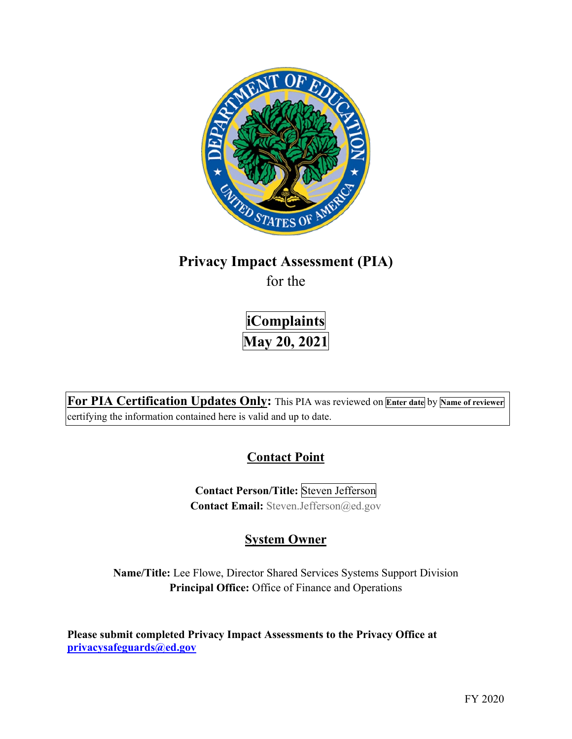

# **Privacy Impact Assessment (PIA)**

for the

 **iComplaints May 20, 2021** 

 **For PIA Certification Updates Only:** This PIA was reviewed on **Enter date** by **Name of reviewer**  certifying the information contained here is valid and up to date.

## **Contact Point**

**Contact Person/Title:** Steven Jefferson **Contact Email:** [Steven.Jefferson@ed.gov](mailto:Steven.Jefferson@ed.gov)

## **System Owner**

 **Name/Title:** Lee Flowe, Director Shared Services Systems Support Division **Principal Office:** Office of Finance and Operations

 **Please submit completed Privacy Impact Assessments to the Privacy Office at [privacysafeguards@ed.gov](mailto:privacysafeguards@ed.gov)**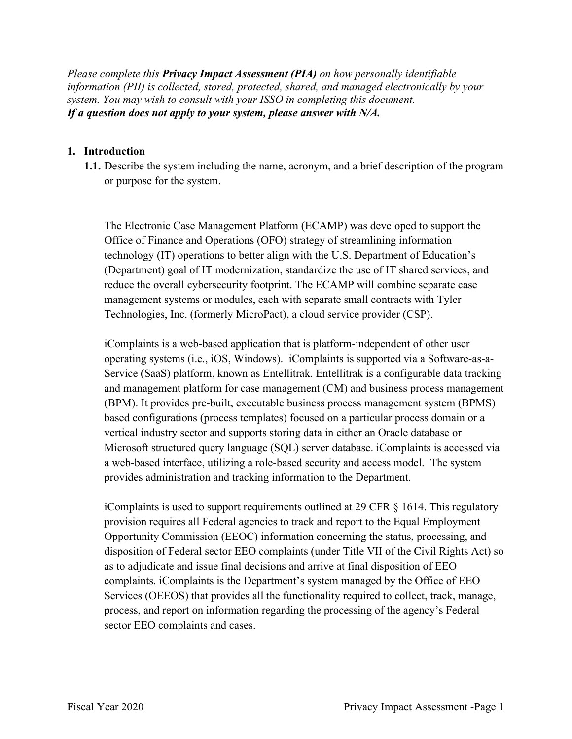*Please complete this Privacy Impact Assessment (PIA) on how personally identifiable information (PII) is collected, stored, protected, shared, and managed electronically by your system. You may wish to consult with your ISSO in completing this document. If a question does not apply to your system, please answer with N/A.* 

#### **1. Introduction**

or purpose for the system. **1.1.** Describe the system including the name, acronym, and a brief description of the program

 or purpose for the system. The Electronic Case Management Platform (ECAMP) was developed to support the Office of Finance and Operations (OFO) strategy of streamlining information technology (IT) operations to better align with the U.S. Department of Education's (Department) goal of IT modernization, standardize the use of IT shared services, and reduce the overall cybersecurity footprint. The ECAMP will combine separate case management systems or modules, each with separate small contracts with Tyler Technologies, Inc. (formerly MicroPact), a cloud service provider (CSP).

 operating systems (i.e., iOS, Windows). iComplaints is supported via a Software-as-a- based configurations (process templates) focused on a particular process domain or a iComplaints is a web-based application that is platform-independent of other user Service (SaaS) platform, known as Entellitrak. Entellitrak is a configurable data tracking and management platform for case management (CM) and business process management (BPM). It provides pre-built, executable business process management system (BPMS) vertical industry sector and supports storing data in either an Oracle database or Microsoft structured query language (SQL) server database. iComplaints is accessed via a web-based interface, utilizing a role-based security and access model. The system provides administration and tracking information to the Department.

 Opportunity Commission (EEOC) information concerning the status, processing, and disposition of Federal sector EEO complaints (under Title VII of the Civil Rights Act) so as to adjudicate and issue final decisions and arrive at final disposition of EEO Services (OEEOS) that provides all the functionality required to collect, track, manage, process, and report on information regarding the processing of the agency's Federal iComplaints is used to support requirements outlined at 29 CFR § 1614. This regulatory provision requires all Federal agencies to track and report to the Equal Employment complaints. iComplaints is the Department's system managed by the Office of EEO sector EEO complaints and cases.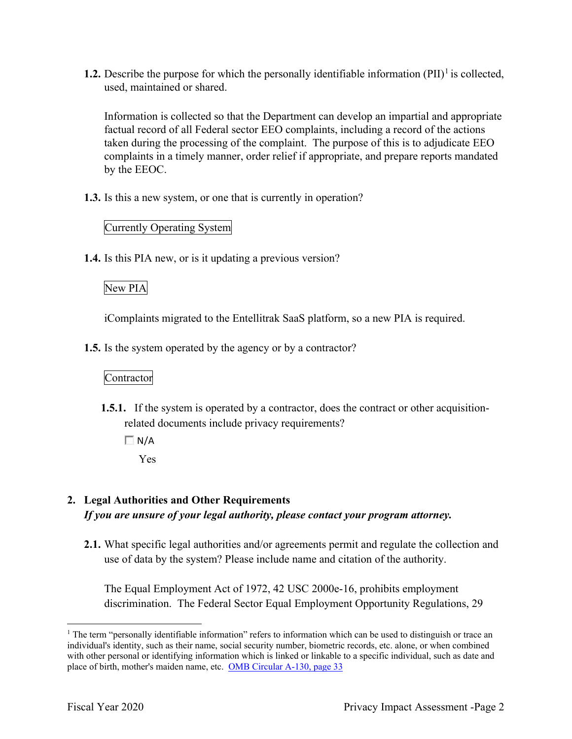**1.2.** Describe the purpose for which the personally identifiable information  $(PII)^{1}$  is collected, used, maintained or shared.

 Information is collected so that the Department can develop an impartial and appropriate complaints in a timely manner, order relief if appropriate, and prepare reports mandated factual record of all Federal sector EEO complaints, including a record of the actions taken during the processing of the complaint. The purpose of this is to adjudicate EEO by the EEOC.

**1.3.** Is this a new system, or one that is currently in operation?

### Currently Operating System

**1.4.** Is this PIA new, or is it updating a previous version?

### New PIA

iComplaints migrated to the Entellitrak SaaS platform, so a new PIA is required.

**1.5.** Is the system operated by the agency or by a contractor?

Contractor

- **1.5.1.** If the system is operated by a contractor, does the contract or other acquisitionrelated documents include privacy requirements?
	- $\Box$  N/A
		- Yes

## **2. Legal Authorities and Other Requirements**  *If you are unsure of your legal authority, please contact your program attorney.*

**2.1.** What specific legal authorities and/or agreements permit and regulate the collection and use of data by the system? Please include name and citation of the authority.

The Equal Employment Act of 1972, 42 USC 2000e-16, prohibits employment discrimination. The Federal Sector Equal Employment Opportunity Regulations, 29

 $1$  The term "personally identifiable information" refers to information which can be used to distinguish or trace an individual's identity, such as their name, social security number, biometric records, etc. alone, or when combined with other personal or identifying information which is linked or linkable to a specific individual, such as date and place of birth, mother's maiden name, etc. OMB Circular A-130, page 33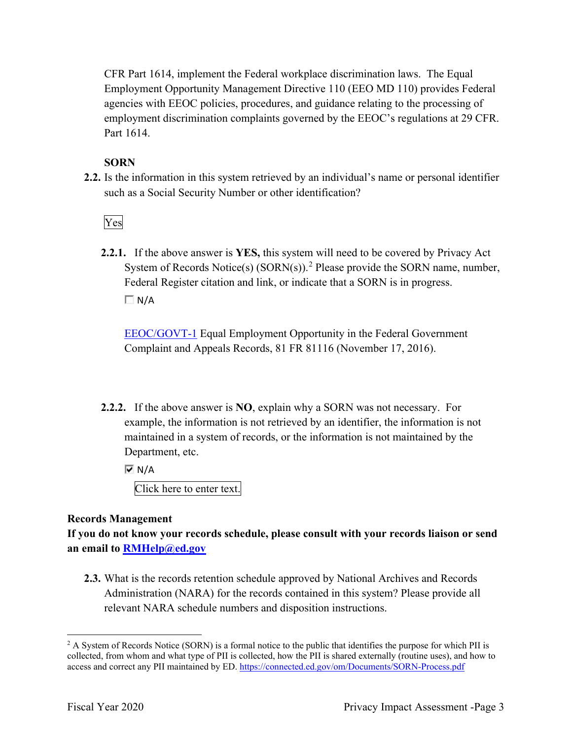CFR Part 1614, implement the Federal workplace discrimination laws. The Equal Employment Opportunity Management Directive 110 (EEO MD 110) provides Federal employment discrimination complaints governed by the EEOC's regulations at 29 CFR. agencies with EEOC policies, procedures, and guidance relating to the processing of Part 1614.

#### **SORN**

 **2.2.** Is the information in this system retrieved by an individual's name or personal identifier such as a Social Security Number or other identification?<br>Ves

**2.2.1.** If the above answer is **YES,** this system will need to be covered by Privacy Act System of Records Notice(s)  $(SORN(s))$ .<sup>2</sup> Please provide the SORN name, number, Federal Register citation and link, or indicate that a SORN is in progress.  $\Box$  N/A

EEOC/GOVT-1 Equal Employment Opportunity in the Federal Government Complaint and Appeals Records, 81 FR 81116 (November 17, 2016).

 **2.2.2.** If the above answer is **NO**, explain why a SORN was not necessary. For Department, etc. example, the information is not retrieved by an identifier, the information is not maintained in a system of records, or the information is not maintained by the

 $\overline{M}$  N/A

Click here to enter text.

#### **Records Management**

 **an email to [RMHelp@ed.gov](mailto:RMHelp@ed.gov) If you do not know your records schedule, please consult with your records liaison or send** 

 Administration (NARA) for the records contained in this system? Please provide all **2.3.** What is the records retention schedule approved by National Archives and Records relevant NARA schedule numbers and disposition instructions.

 $2$  A System of Records Notice (SORN) is a formal notice to the public that identifies the purpose for which PII is collected, from whom and what type of PII is collected, how the PII is shared externally (routine uses), and how to access and correct any PII maintained by ED. <https://connected.ed.gov/om/Documents/SORN-Process.pdf>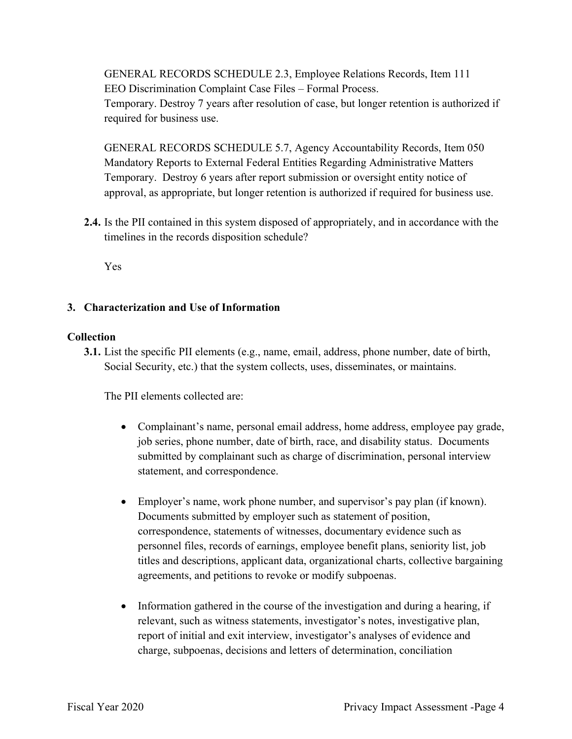GENERAL RECORDS SCHEDULE 2.3, Employee Relations Records, Item 111 EEO Discrimination Complaint Case Files – Formal Process. Temporary. Destroy 7 years after resolution of case, but longer retention is authorized if required for business use.

 Mandatory Reports to External Federal Entities Regarding Administrative Matters Temporary. Destroy 6 years after report submission or oversight entity notice of approval, as appropriate, but longer retention is authorized if required for business use. GENERAL RECORDS SCHEDULE 5.7, Agency Accountability Records, Item 050

 timelines in the records disposition schedule? **2.4.** Is the PII contained in this system disposed of appropriately, and in accordance with the

Yes

#### **3. Characterization and Use of Information**

#### **Collection**

**3.1.** List the specific PII elements (e.g., name, email, address, phone number, date of birth, Social Security, etc.) that the system collects, uses, disseminates, or maintains.

The PII elements collected are:

- submitted by complainant such as charge of discrimination, personal interview • Complainant's name, personal email address, home address, employee pay grade, job series, phone number, date of birth, race, and disability status. Documents statement, and correspondence.
- • Employer's name, work phone number, and supervisor's pay plan (if known). Documents submitted by employer such as statement of position, correspondence, statements of witnesses, documentary evidence such as personnel files, records of earnings, employee benefit plans, seniority list, job titles and descriptions, applicant data, organizational charts, collective bargaining agreements, and petitions to revoke or modify subpoenas.
- • Information gathered in the course of the investigation and during a hearing, if relevant, such as witness statements, investigator's notes, investigative plan, report of initial and exit interview, investigator's analyses of evidence and charge, subpoenas, decisions and letters of determination, conciliation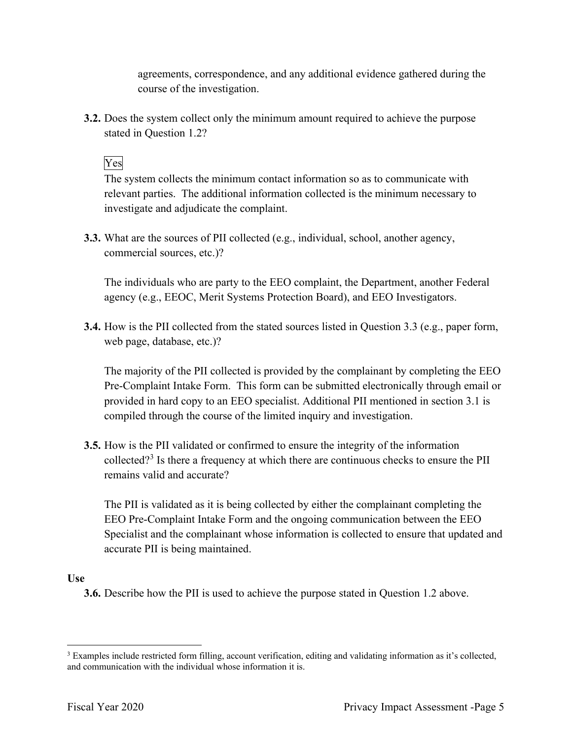agreements, correspondence, and any additional evidence gathered during the course of the investigation.

 **3.2.** Does the system collect only the minimum amount required to achieve the purpose stated in Question 1.2?<br>Yes

 The system collects the minimum contact information so as to communicate with relevant parties. The additional information collected is the minimum necessary to investigate and adjudicate the complaint.

**3.3.** What are the sources of PII collected (e.g., individual, school, another agency, commercial sources, etc.)?

 The individuals who are party to the EEO complaint, the Department, another Federal agency (e.g., EEOC, Merit Systems Protection Board), and EEO Investigators.

 **3.4.** How is the PII collected from the stated sources listed in Question 3.3 (e.g., paper form, web page, database, etc.)?

The majority of the PII collected is provided by the complainant by completing the EEO Pre-Complaint Intake Form. This form can be submitted electronically through email or provided in hard copy to an EEO specialist. Additional PII mentioned in section 3.1 is compiled through the course of the limited inquiry and investigation.

 **3.5.** How is the PII validated or confirmed to ensure the integrity of the information collected?<sup>3</sup> Is there a frequency at which there are continuous checks to ensure the PII remains valid and accurate?

 accurate PII is being maintained. The PII is validated as it is being collected by either the complainant completing the EEO Pre-Complaint Intake Form and the ongoing communication between the EEO Specialist and the complainant whose information is collected to ensure that updated and

#### **Use**

**3.6.** Describe how the PII is used to achieve the purpose stated in Question 1.2 above.

 $3$  Examples include restricted form filling, account verification, editing and validating information as it's collected, and communication with the individual whose information it is.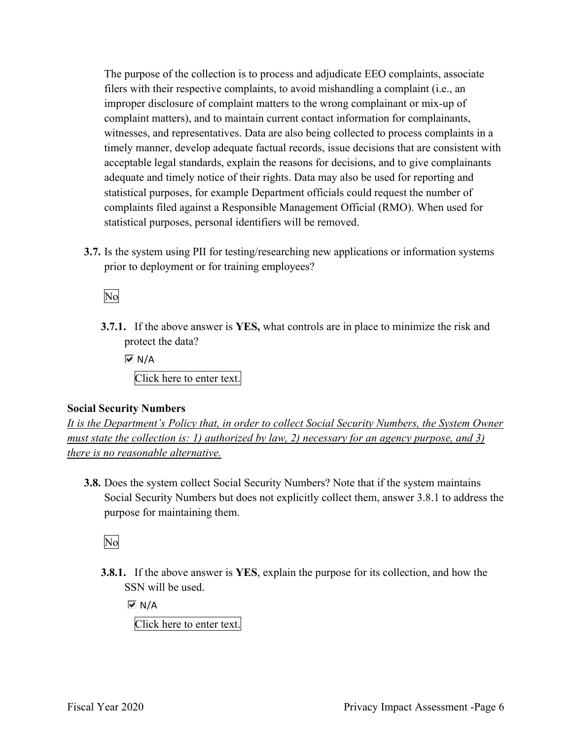improper disclosure of complaint matters to the wrong complainant or mix-up of witnesses, and representatives. Data are also being collected to process complaints in a acceptable legal standards, explain the reasons for decisions, and to give complainants adequate and timely notice of their rights. Data may also be used for reporting and The purpose of the collection is to process and adjudicate EEO complaints, associate filers with their respective complaints, to avoid mishandling a complaint (i.e., an complaint matters), and to maintain current contact information for complainants, timely manner, develop adequate factual records, issue decisions that are consistent with statistical purposes, for example Department officials could request the number of complaints filed against a Responsible Management Official (RMO). When used for statistical purposes, personal identifiers will be removed.

 **3.7.** Is the system using PII for testing/researching new applications or information systems prior to deployment or for training employees?<br>No

 **3.7.1.** If the above answer is **YES,** what controls are in place to minimize the risk and protect the data?

 Click here to enter text.  $\overline{M}$  N/A

### **Social Security Numbers**

*It is the Department's Policy that, in order to collect Social Security Numbers, the System Owner must state the collection is: 1) authorized by law, 2) necessary for an agency purpose, and 3) there is no reasonable alternative.* 

 **3.8.** Does the system collect Social Security Numbers? Note that if the system maintains Social Security Numbers but does not explicitly collect them, answer 3.8.1 to address the purpose for maintaining them.

No

**3.8.1.** If the above answer is **YES**, explain the purpose for its collection, and how the SSN will be used.

 $\overline{M}$  N/A

Click here to enter text.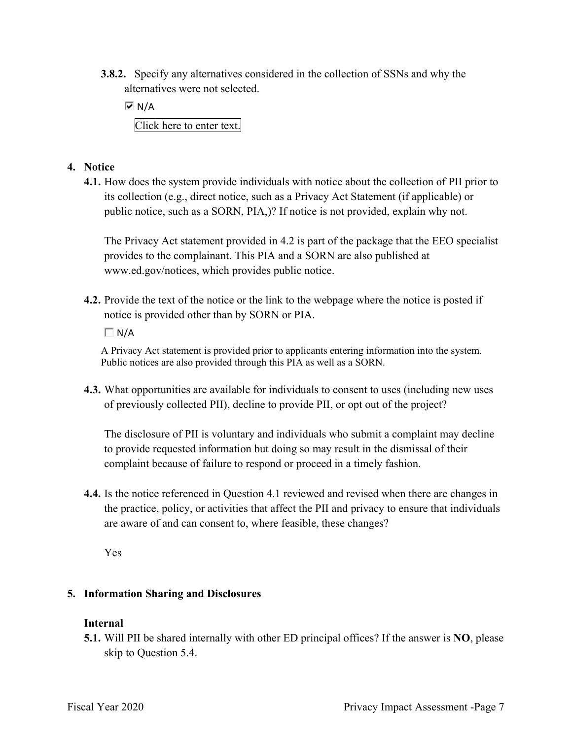**3.8.2.** Specify any alternatives considered in the collection of SSNs and why the alternatives were not selected.

 $\overline{V}$  N/A Click here to enter text.

- **4. Notice** 
	- its collection (e.g., direct notice, such as a Privacy Act Statement (if applicable) or **4.1.** How does the system provide individuals with notice about the collection of PII prior to public notice, such as a SORN, PIA,)? If notice is not provided, explain why not.

 provides to the complainant. This PIA and a SORN are also published at The Privacy Act statement provided in 4.2 is part of the package that the EEO specialist <www.ed.gov/notices>, which provides public notice.

**4.2.** Provide the text of the notice or the link to the webpage where the notice is posted if notice is provided other than by SORN or PIA.

 $\Box$  N/A

A Privacy Act statement is provided prior to applicants entering information into the system. Public notices are also provided through this PIA as well as a SORN.

 **4.3.** What opportunities are available for individuals to consent to uses (including new uses of previously collected PII), decline to provide PII, or opt out of the project?

 The disclosure of PII is voluntary and individuals who submit a complaint may decline to provide requested information but doing so may result in the dismissal of their complaint because of failure to respond or proceed in a timely fashion.

**4.4.** Is the notice referenced in Question 4.1 reviewed and revised when there are changes in the practice, policy, or activities that affect the PII and privacy to ensure that individuals are aware of and can consent to, where feasible, these changes?

Yes

### **5. Information Sharing and Disclosures**

#### **Internal**

 **5.1.** Will PII be shared internally with other ED principal offices? If the answer is **NO**, please skip to Question 5.4.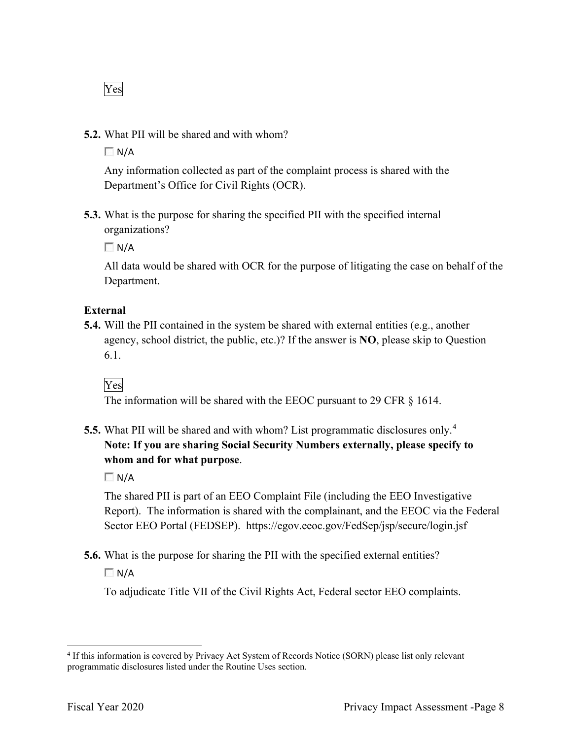Yes

**5.2.** What PII will be shared and with whom?

 $\Box$  N/A

 Any information collected as part of the complaint process is shared with the Department's Office for Civil Rights (OCR).

 **5.3.** What is the purpose for sharing the specified PII with the specified internal organizations?

 $\Box$  N/A

 All data would be shared with OCR for the purpose of litigating the case on behalf of the Department.

#### **External**

 **5.4.** Will the PII contained in the system be shared with external entities (e.g., another agency, school district, the public, etc.)? If the answer is **NO**, please skip to Question 6.1.

### Yes

The information will be shared with the EEOC pursuant to 29 CFR § 1614.

 **5.5.** What PII will be shared and with whom? List programmatic disclosures only. 4  **Note: If you are sharing Social Security Numbers externally, please specify to whom and for what purpose**.

 $\Box$  N/A

 Report). The information is shared with the complainant, and the EEOC via the Federal The shared PII is part of an EEO Complaint File (including the EEO Investigative Sector EEO Portal (FEDSEP). <https://egov.eeoc.gov/FedSep/jsp/secure/login.jsf>

**5.6.** What is the purpose for sharing the PII with the specified external entities?

 $\Box$  N/A

To adjudicate Title VII of the Civil Rights Act, Federal sector EEO complaints.

<sup>&</sup>lt;sup>4</sup> If this information is covered by Privacy Act System of Records Notice (SORN) please list only relevant programmatic disclosures listed under the Routine Uses section.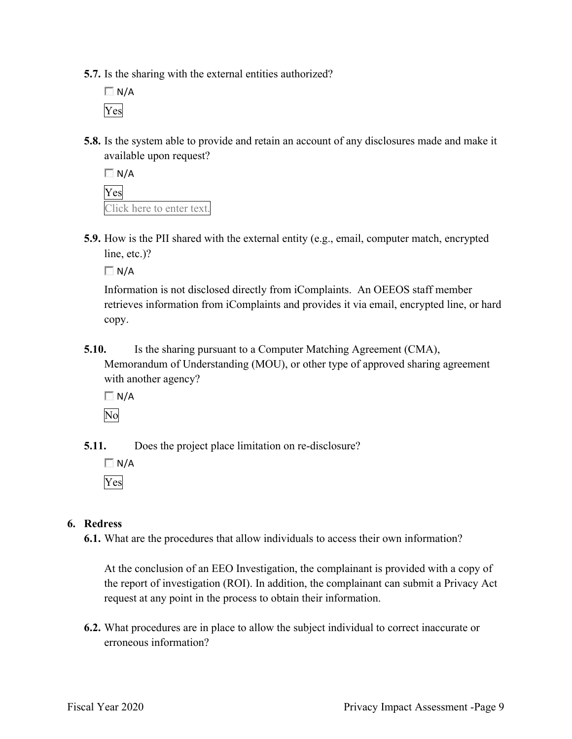**5.7.** Is the sharing with the external entities authorized?

 $\Box$  N/A Yes

**5.8.** Is the system able to provide and retain an account of any disclosures made and make it available upon request?

 Click here to enter text.  $\Box$  N/A Yes

**5.9.** How is the PII shared with the external entity (e.g., email, computer match, encrypted line, etc.)?

 $\Box N/A$ 

 Information is not disclosed directly from iComplaints. An OEEOS staff member retrieves information from iComplaints and provides it via email, encrypted line, or hard copy.

**5.10.** Is the sharing pursuant to a Computer Matching Agreement (CMA), Memorandum of Understanding (MOU), or other type of approved sharing agreement with another agency?

 $\Box N/A$ 

No

**5.11.** Does the project place limitation on re-disclosure?

 $\Box$  N/A Yes

#### **6. Redress**

**6.1.** What are the procedures that allow individuals to access their own information?

 At the conclusion of an EEO Investigation, the complainant is provided with a copy of the report of investigation (ROI). In addition, the complainant can submit a Privacy Act request at any point in the process to obtain their information.

 **6.2.** What procedures are in place to allow the subject individual to correct inaccurate or erroneous information?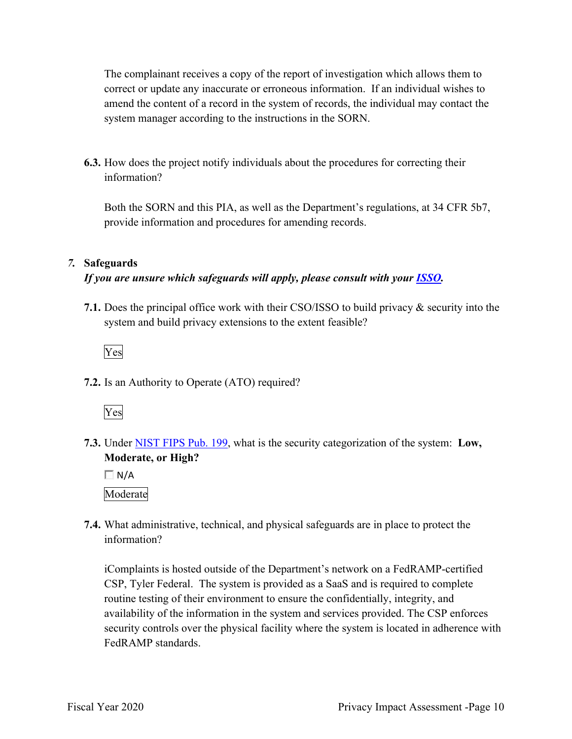The complainant receives a copy of the report of investigation which allows them to correct or update any inaccurate or erroneous information. If an individual wishes to system manager according to the instructions in the SORN. amend the content of a record in the system of records, the individual may contact the

**6.3.** How does the project notify individuals about the procedures for correcting their information?

 provide information and procedures for amending records. Both the SORN and this PIA, as well as the Department's regulations, at 34 CFR 5b7,

#### *7.* **Safeguards**

#### *If you are unsure which safeguards will apply, please consult with your ISSO.*

 **7.1.** Does the principal office work with their CSO/ISSO to build privacy & security into the system and build privacy extensions to the extent feasible?



**7.2.** Is an Authority to Operate (ATO) required?



 **7.3.** Under NIST FIPS Pub. 199, what is the security categorization of the system: **Low, Moderate, or High?** 

 $\Box$  N/A Moderate

 **7.4.** What administrative, technical, and physical safeguards are in place to protect the information?

 routine testing of their environment to ensure the confidentially, integrity, and availability of the information in the system and services provided. The CSP enforces security controls over the physical facility where the system is located in adherence with iComplaints is hosted outside of the Department's network on a FedRAMP-certified CSP, Tyler Federal. The system is provided as a SaaS and is required to complete FedRAMP standards.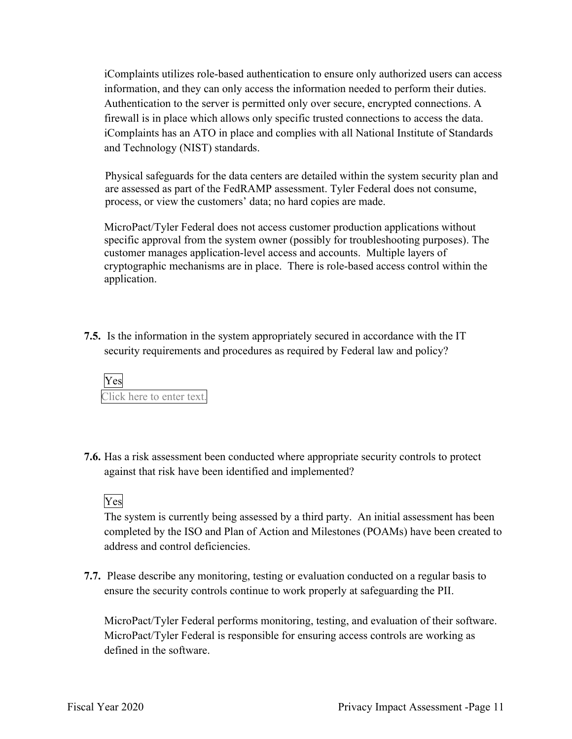firewall is in place which allows only specific trusted connections to access the data. and Technology (NIST) standards. iComplaints utilizes role-based authentication to ensure only authorized users can access information, and they can only access the information needed to perform their duties. Authentication to the server is permitted only over secure, encrypted connections. A iComplaints has an ATO in place and complies with all National Institute of Standards

Physical safeguards for the data centers are detailed within the system security plan and are assessed as part of the FedRAMP assessment. Tyler Federal does not consume, process, or view the customers' data; no hard copies are made.

 cryptographic mechanisms are in place. There is role-based access control within the MicroPact/Tyler Federal does not access customer production applications without specific approval from the system owner (possibly for troubleshooting purposes). The customer manages application-level access and accounts. Multiple layers of application.

 **7.5.** Is the information in the system appropriately secured in accordance with the IT security requirements and procedures as required by Federal law and policy?



**7.6.** Has a risk assessment been conducted where appropriate security controls to protect against that risk have been identified and implemented?

Yes

The system is currently being assessed by a third party. An initial assessment has been completed by the ISO and Plan of Action and Milestones (POAMs) have been created to address and control deficiencies.

 ensure the security controls continue to work properly at safeguarding the PII. **7.7.** Please describe any monitoring, testing or evaluation conducted on a regular basis to

MicroPact/Tyler Federal performs monitoring, testing, and evaluation of their software. MicroPact/Tyler Federal is responsible for ensuring access controls are working as defined in the software.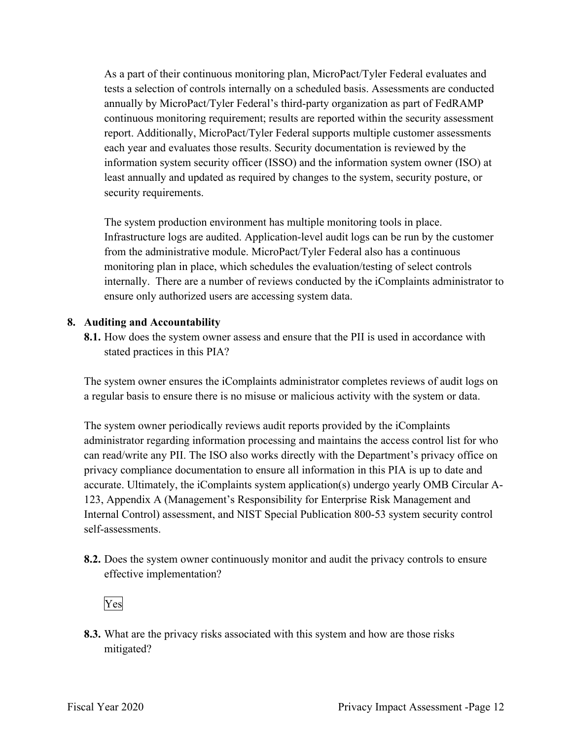As a part of their continuous monitoring plan, MicroPact/Tyler Federal evaluates and report. Additionally, MicroPact/Tyler Federal supports multiple customer assessments each year and evaluates those results. Security documentation is reviewed by the information system security officer (ISSO) and the information system owner (ISO) at tests a selection of controls internally on a scheduled basis. Assessments are conducted annually by MicroPact/Tyler Federal's third-party organization as part of FedRAMP continuous monitoring requirement; results are reported within the security assessment least annually and updated as required by changes to the system, security posture, or security requirements.

 Infrastructure logs are audited. Application-level audit logs can be run by the customer internally. There are a number of reviews conducted by the iComplaints administrator to The system production environment has multiple monitoring tools in place. from the administrative module. MicroPact/Tyler Federal also has a continuous monitoring plan in place, which schedules the evaluation/testing of select controls ensure only authorized users are accessing system data.

#### **8. Auditing and Accountability**

 **8.1.** How does the system owner assess and ensure that the PII is used in accordance with stated practices in this PIA?

 a regular basis to ensure there is no misuse or malicious activity with the system or data. The system owner ensures the iComplaints administrator completes reviews of audit logs on

 The system owner periodically reviews audit reports provided by the iComplaints administrator regarding information processing and maintains the access control list for who can read/write any PII. The ISO also works directly with the Department's privacy office on privacy compliance documentation to ensure all information in this PIA is up to date and accurate. Ultimately, the iComplaints system application(s) undergo yearly OMB Circular A-123, Appendix A (Management's Responsibility for Enterprise Risk Management and Internal Control) assessment, and NIST Special Publication 800-53 system security control self-assessments.

 **8.2.** Does the system owner continuously monitor and audit the privacy controls to ensure effective implementation?

Yes

mitigated? **8.3.** What are the privacy risks associated with this system and how are those risks mitigated?<br>Fiscal Year 2020 Privacy Impact Assessment -Page 12